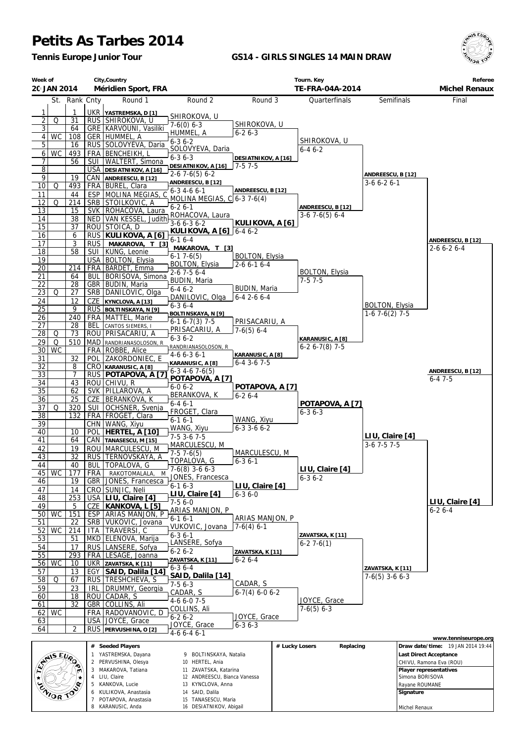## **Petits As Tarbes 2014**

*Tennis Europe Junior Tour*

## **GS14 - GIRLS SINGLES 14 MAIN DRAW**